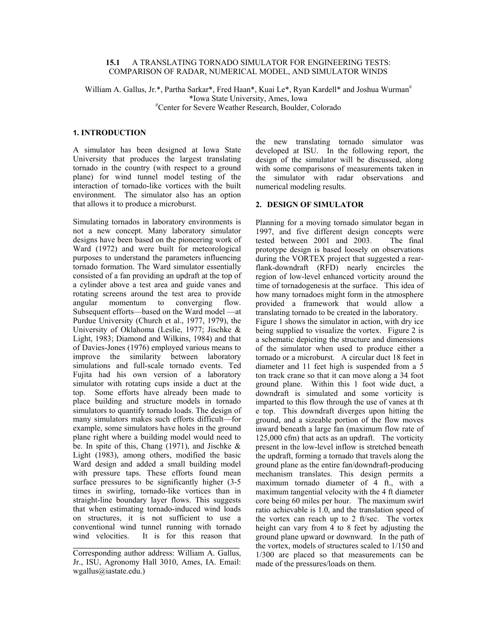### **15.1** A TRANSLATING TORNADO SIMULATOR FOR ENGINEERING TESTS: COMPARISON OF RADAR, NUMERICAL MODEL, AND SIMULATOR WINDS

William A. Gallus, Jr.\*, Partha Sarkar\*, Fred Haan\*, Kuai Le\*, Ryan Kardell\* and Joshua Wurman<sup>#</sup> \*Iowa State University, Ames, Iowa # Center for Severe Weather Research, Boulder, Colorado

# **1. INTRODUCTION**

A simulator has been designed at Iowa State University that produces the largest translating tornado in the country (with respect to a ground plane) for wind tunnel model testing of the interaction of tornado-like vortices with the built environment. The simulator also has an option that allows it to produce a microburst.

Simulating tornados in laboratory environments is not a new concept. Many laboratory simulator designs have been based on the pioneering work of Ward (1972) and were built for meteorological purposes to understand the parameters influencing tornado formation. The Ward simulator essentially consisted of a fan providing an updraft at the top of a cylinder above a test area and guide vanes and rotating screens around the test area to provide angular momentum to converging flow. Subsequent efforts—based on the Ward model —at Purdue University (Church et al., 1977, 1979), the University of Oklahoma (Leslie, 1977; Jischke & Light, 1983; Diamond and Wilkins, 1984) and that of Davies-Jones (1976) employed various means to improve the similarity between laboratory simulations and full-scale tornado events. Ted Fujita had his own version of a laboratory simulator with rotating cups inside a duct at the top. Some efforts have already been made to place building and structure models in tornado simulators to quantify tornado loads. The design of many simulators makes such efforts difficult—for example, some simulators have holes in the ground plane right where a building model would need to be. In spite of this, Chang  $(1971)$ , and Jischke & Light (1983), among others, modified the basic Ward design and added a small building model with pressure taps. These efforts found mean surface pressures to be significantly higher  $(3-5)$ times in swirling, tornado-like vortices than in straight-line boundary layer flows. This suggests that when estimating tornado-induced wind loads on structures, it is not sufficient to use a conventional wind tunnel running with tornado wind velocities. It is for this reason that

\_\_\_\_\_\_\_\_\_\_\_\_\_\_\_\_\_\_\_\_\_\_\_\_\_\_\_\_\_\_\_\_\_\_\_\_\_\_\_\_\_

the new translating tornado simulator was developed at ISU. In the following report, the design of the simulator will be discussed, along with some comparisons of measurements taken in the simulator with radar observations and numerical modeling results.

## **2. DESIGN OF SIMULATOR**

Planning for a moving tornado simulator began in 1997, and five different design concepts were tested between 2001 and 2003. The final prototype design is based loosely on observations during the VORTEX project that suggested a rearflank-downdraft (RFD) nearly encircles the region of low-level enhanced vorticity around the time of tornadogenesis at the surface. This idea of how many tornadoes might form in the atmosphere provided a framework that would allow a translating tornado to be created in the laboratory. Figure 1 shows the simulator in action, with dry ice being supplied to visualize the vortex. Figure 2 is a schematic depicting the structure and dimensions of the simulator when used to produce either a tornado or a microburst. A circular duct 18 feet in diameter and 11 feet high is suspended from a 5 ton track crane so that it can move along a 34 foot ground plane. Within this 1 foot wide duct, a downdraft is simulated and some vorticity is imparted to this flow through the use of vanes at th e top. This downdraft diverges upon hitting the ground, and a sizeable portion of the flow moves inward beneath a large fan (maximum flow rate of 125,000 cfm) that acts as an updraft. The vorticity present in the low-level inflow is stretched beneath the updraft, forming a tornado that travels along the ground plane as the entire fan/downdraft-producing mechanism translates. This design permits a maximum tornado diameter of 4 ft., with a maximum tangential velocity with the 4 ft diameter core being 60 miles per hour. The maximum swirl ratio achievable is 1.0, and the translation speed of the vortex can reach up to 2 ft/sec. The vortex height can vary from 4 to 8 feet by adjusting the ground plane upward or downward. In the path of the vortex, models of structures scaled to 1/150 and 1/300 are placed so that measurements can be made of the pressures/loads on them.

Corresponding author address: William A. Gallus, Jr., ISU, Agronomy Hall 3010, Ames, IA. Email: wgallus@iastate.edu.)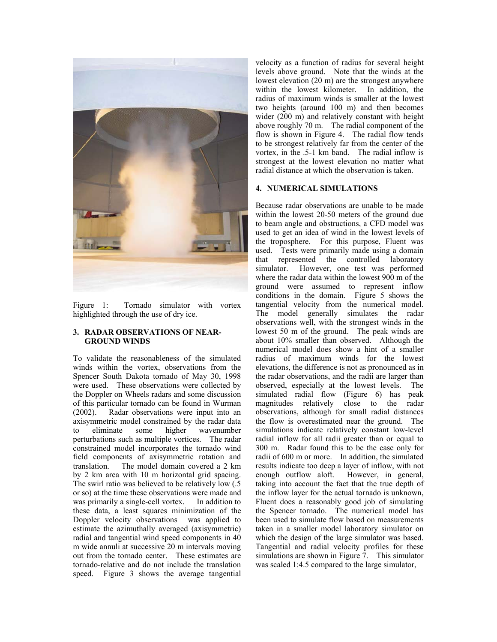

Figure 1: Tornado simulator with vortex highlighted through the use of dry ice.

## **3. RADAR OBSERVATIONS OF NEAR-GROUND WINDS**

To validate the reasonableness of the simulated winds within the vortex, observations from the Spencer South Dakota tornado of May 30, 1998 were used. These observations were collected by the Doppler on Wheels radars and some discussion of this particular tornado can be found in Wurman (2002). Radar observations were input into an Radar observations were input into an axisymmetric model constrained by the radar data to eliminate some higher wavenumber perturbations such as multiple vortices. The radar constrained model incorporates the tornado wind field components of axisymmetric rotation and translation. The model domain covered a 2 km by 2 km area with 10 m horizontal grid spacing. The swirl ratio was believed to be relatively low (.5 or so) at the time these observations were made and was primarily a single-cell vortex. In addition to these data, a least squares minimization of the Doppler velocity observations was applied to estimate the azimuthally averaged (axisymmetric) radial and tangential wind speed components in 40 m wide annuli at successive 20 m intervals moving out from the tornado center. These estimates are tornado-relative and do not include the translation speed. Figure 3 shows the average tangential

velocity as a function of radius for several height levels above ground. Note that the winds at the lowest elevation (20 m) are the strongest anywhere within the lowest kilometer. In addition, the radius of maximum winds is smaller at the lowest two heights (around 100 m) and then becomes wider (200 m) and relatively constant with height above roughly 70 m. The radial component of the flow is shown in Figure 4. The radial flow tends to be strongest relatively far from the center of the vortex, in the .5-1 km band. The radial inflow is strongest at the lowest elevation no matter what radial distance at which the observation is taken.

# **4. NUMERICAL SIMULATIONS**

Because radar observations are unable to be made within the lowest 20-50 meters of the ground due to beam angle and obstructions, a CFD model was used to get an idea of wind in the lowest levels of the troposphere. For this purpose, Fluent was used. Tests were primarily made using a domain that represented the controlled laboratory simulator. However, one test was performed where the radar data within the lowest 900 m of the ground were assumed to represent inflow conditions in the domain. Figure 5 shows the tangential velocity from the numerical model. The model generally simulates the radar observations well, with the strongest winds in the lowest 50 m of the ground. The peak winds are about 10% smaller than observed. Although the numerical model does show a hint of a smaller radius of maximum winds for the lowest elevations, the difference is not as pronounced as in the radar observations, and the radii are larger than observed, especially at the lowest levels. The simulated radial flow (Figure 6) has peak magnitudes relatively close to the radar observations, although for small radial distances the flow is overestimated near the ground. The simulations indicate relatively constant low-level radial inflow for all radii greater than or equal to 300 m. Radar found this to be the case only for radii of 600 m or more. In addition, the simulated results indicate too deep a layer of inflow, with not enough outflow aloft. However, in general, taking into account the fact that the true depth of the inflow layer for the actual tornado is unknown, Fluent does a reasonably good job of simulating the Spencer tornado. The numerical model has been used to simulate flow based on measurements taken in a smaller model laboratory simulator on which the design of the large simulator was based. Tangential and radial velocity profiles for these simulations are shown in Figure 7. This simulator was scaled 1:4.5 compared to the large simulator,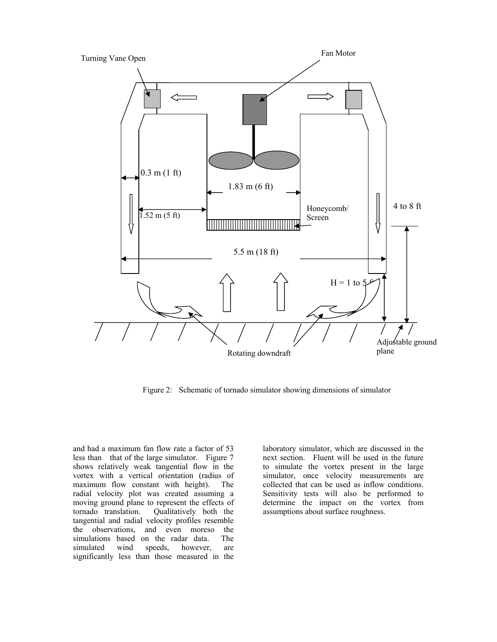

Figure 2: Schematic of tornado simulator showing dimensions of simulator

and had a maximum fan flow rate a factor of 53 less than that of the large simulator. Figure 7 shows relatively weak tangential flow in the vortex with a vertical orientation (radius of maximum flow constant with height). The radial velocity plot was created assuming a moving ground plane to represent the effects of tornado translation. Qualitatively both the tangential and radial velocity profiles resemble the observations, and even moreso the simulations based on the radar data. The simulated wind speeds, however, are significantly less than those measured in the

laboratory simulator, which are discussed in the next section. Fluent will be used in the future to simulate the vortex present in the large simulator, once velocity measurements are collected that can be used as inflow conditions. Sensitivity tests will also be performed to determine the impact on the vortex from assumptions about surface roughness.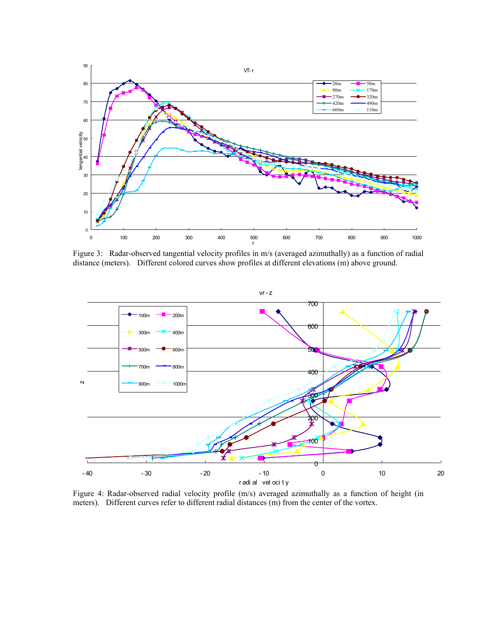

Figure 3: Radar-observed tangential velocity profiles in m/s (averaged azimuthally) as a function of radial distance (meters). Different colored curves show profiles at different elevations (m) above ground.



Figure 4: Radar-observed radial velocity profile (m/s) averaged azimuthally as a function of height (in meters). Different curves refer to different radial distances (m) from the center of the vortex.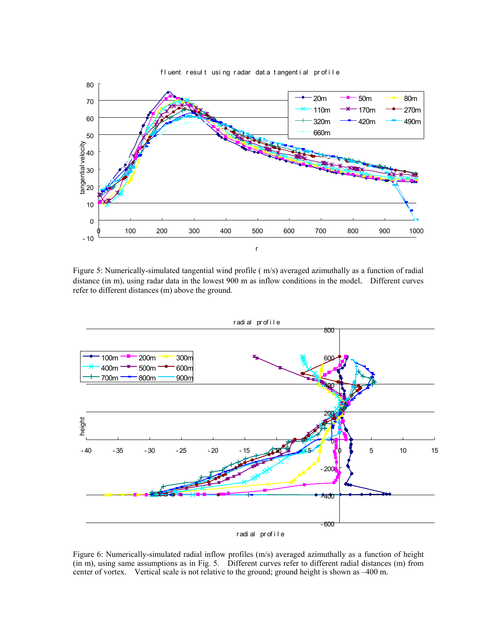

Figure 5: Numerically-simulated tangential wind profile ( m/s) averaged azimuthally as a function of radial distance (in m), using radar data in the lowest 900 m as inflow conditions in the model. Different curves refer to different distances (m) above the ground.



Figure 6: Numerically-simulated radial inflow profiles (m/s) averaged azimuthally as a function of height (in m), using same assumptions as in Fig. 5. Different curves refer to different radial distances (m) from center of vortex. Vertical scale is not relative to the ground; ground height is shown as –400 m.

#### fluent result using radar dat a tangential profile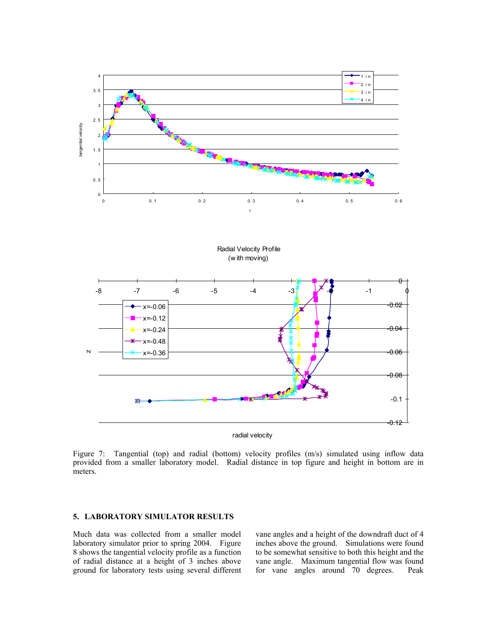

Figure 7: Tangential (top) and radial (bottom) velocity profiles (m/s) simulated using inflow data provided from a smaller laboratory model. Radial distance in top figure and height in bottom are in meters.

## **5. LABORATORY SIMULATOR RESULTS**

Much data was collected from a smaller model laboratory simulator prior to spring 2004. Figure 8 shows the tangential velocity profile as a function of radial distance at a height of 3 inches above ground for laboratory tests using several different vane angles and a height of the downdraft duct of 4 inches above the ground. Simulations were found to be somewhat sensitive to both this height and the vane angle. Maximum tangential flow was found<br>for vane angles around 70 degrees. Peak for vane angles around  $70$  degrees.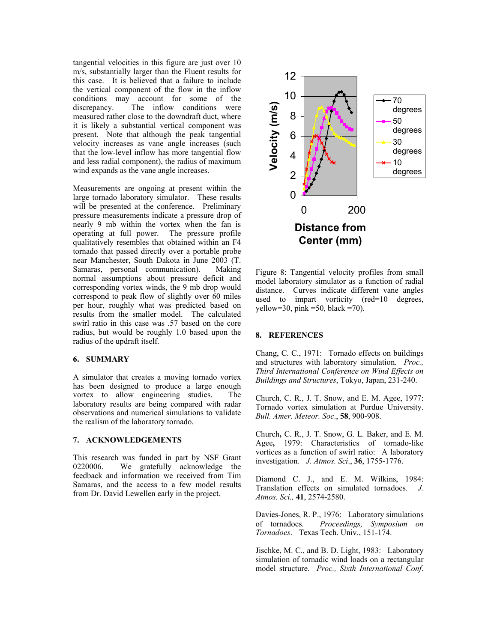tangential velocities in this figure are just over 10 m/s, substantially larger than the Fluent results for this case. It is believed that a failure to include the vertical component of the flow in the inflow conditions may account for some of the discrepancy. The inflow conditions were measured rather close to the downdraft duct, where it is likely a substantial vertical component was present. Note that although the peak tangential velocity increases as vane angle increases (such that the low-level inflow has more tangential flow and less radial component), the radius of maximum wind expands as the vane angle increases.

Measurements are ongoing at present within the large tornado laboratory simulator. These results will be presented at the conference. Preliminary pressure measurements indicate a pressure drop of nearly 9 mb within the vortex when the fan is operating at full power. The pressure profile qualitatively resembles that obtained within an F4 tornado that passed directly over a portable probe near Manchester, South Dakota in June 2003 (T. Samaras, personal communication). Making normal assumptions about pressure deficit and corresponding vortex winds, the 9 mb drop would correspond to peak flow of slightly over 60 miles per hour, roughly what was predicted based on results from the smaller model. The calculated swirl ratio in this case was .57 based on the core radius, but would be roughly 1.0 based upon the radius of the updraft itself.

## **6. SUMMARY**

A simulator that creates a moving tornado vortex has been designed to produce a large enough vortex to allow engineering studies. The laboratory results are being compared with radar observations and numerical simulations to validate the realism of the laboratory tornado.

## **7. ACKNOWLEDGEMENTS**

This research was funded in part by NSF Grant 0220006. We gratefully acknowledge the feedback and information we received from Tim Samaras, and the access to a few model results from Dr. David Lewellen early in the project.



Figure 8: Tangential velocity profiles from small model laboratory simulator as a function of radial distance. Curves indicate different vane angles used to impart vorticity (red=10 degrees, yellow=30, pink =50, black =70).

## **8. REFERENCES**

Chang, C. C., 1971: Tornado effects on buildings and structures with laboratory simulation*. Proc., Third International Conference on Wind Effects on Buildings and Structures*, Tokyo, Japan, 231-240.

Church, C. R., J. T. Snow, and E. M. Agee, 1977: Tornado vortex simulation at Purdue University. *Bull. Amer. Meteor. Soc*., **58**, 900-908.

Church**,** C. R., J. T. Snow, G. L. Baker, and E. M. Agee**,** 1979: Characteristics of tornado-like vortices as a function of swirl ratio: A laboratory investigation*. J. Atmos. Sci*., **36**, 1755-1776.

Diamond C. J., and E. M. Wilkins, 1984: Translation effects on simulated tornadoes*. J. Atmos. Sci.,* **41**, 2574-2580.

Davies-Jones, R. P., 1976: Laboratory simulations of tornadoes. *Proceedings, Symposium on Tornadoes*. Texas Tech. Univ., 151-174.

Jischke, M. C., and B. D. Light, 1983: Laboratory simulation of tornadic wind loads on a rectangular model structure. *Proc., Sixth International Conf*.